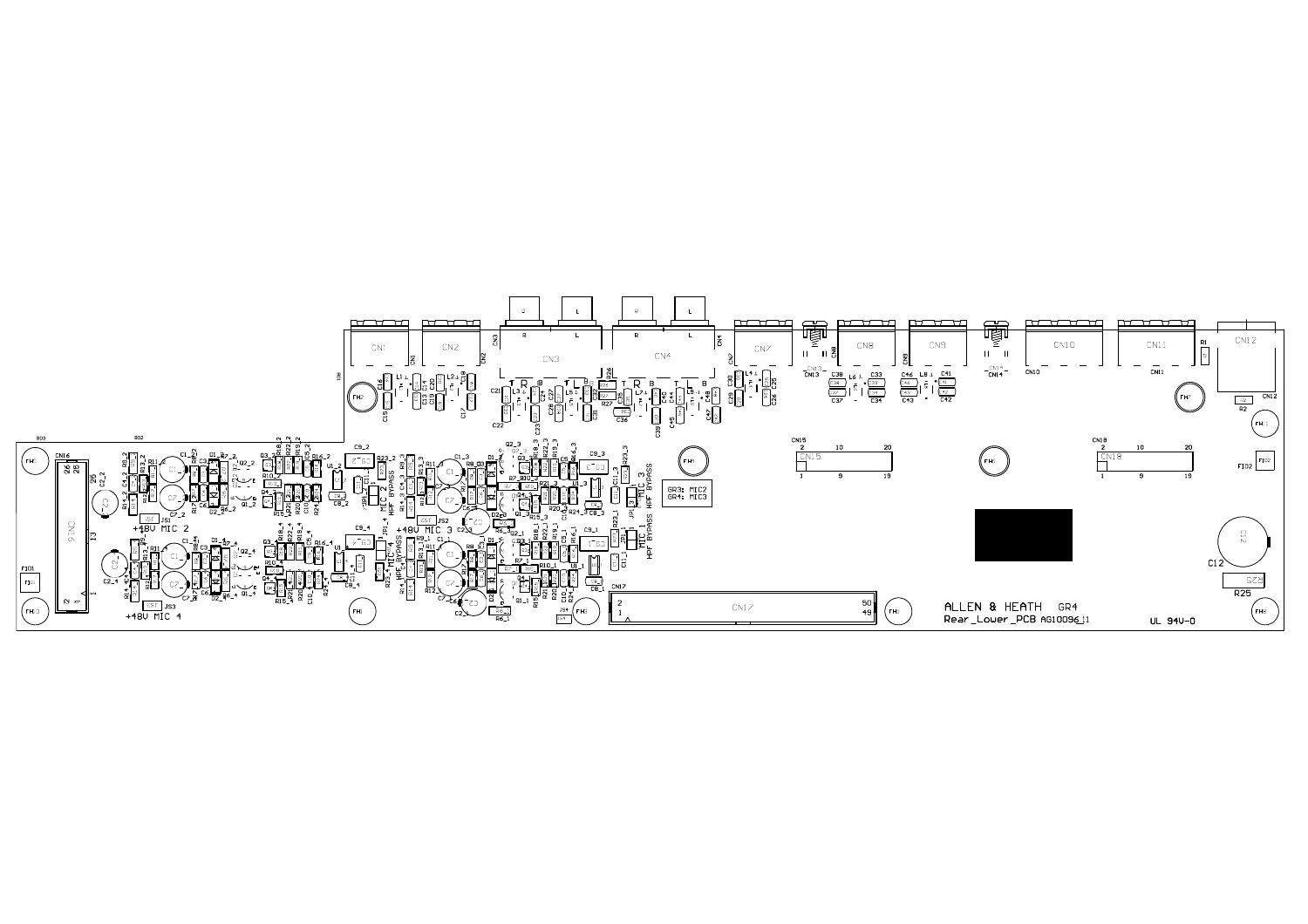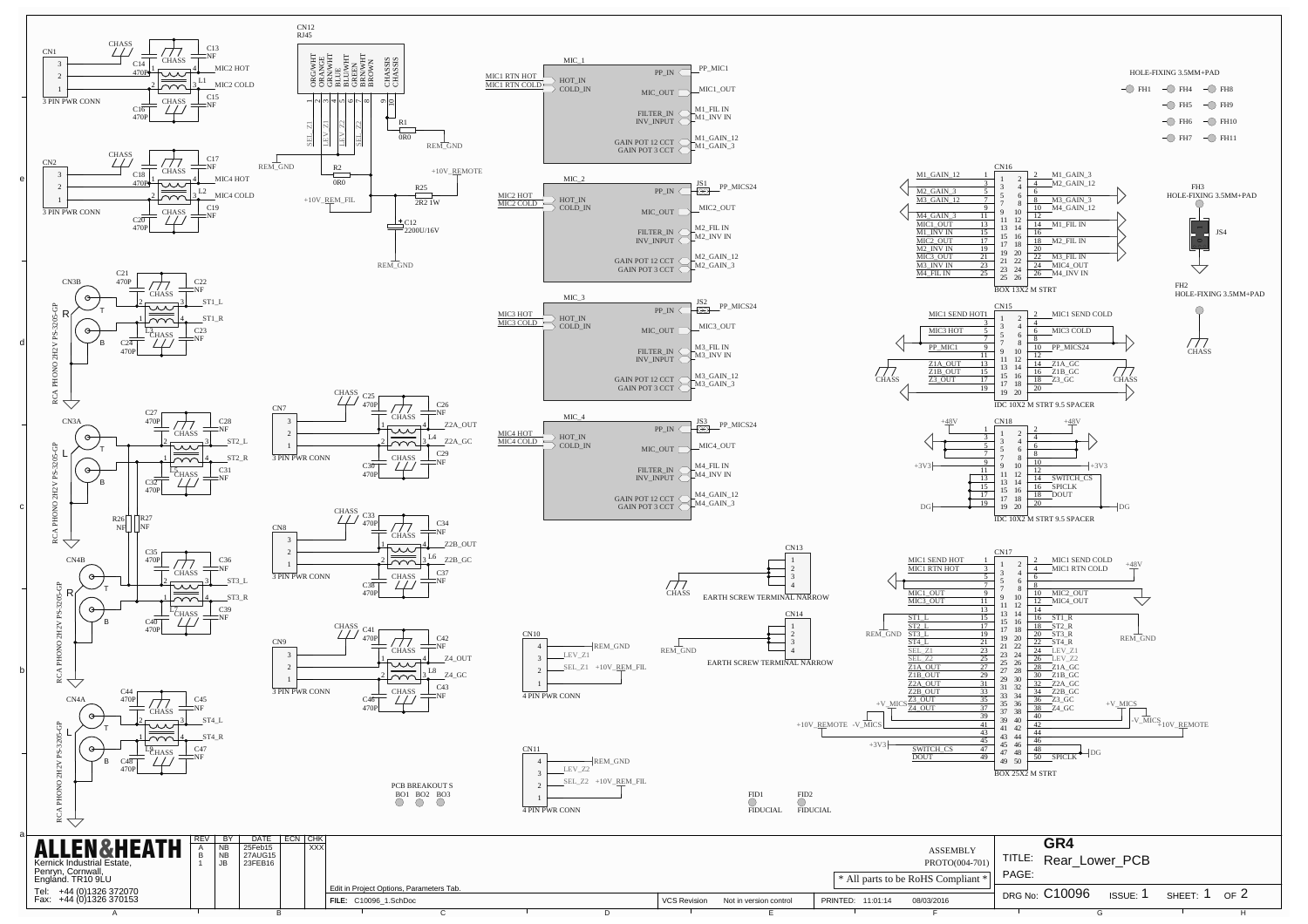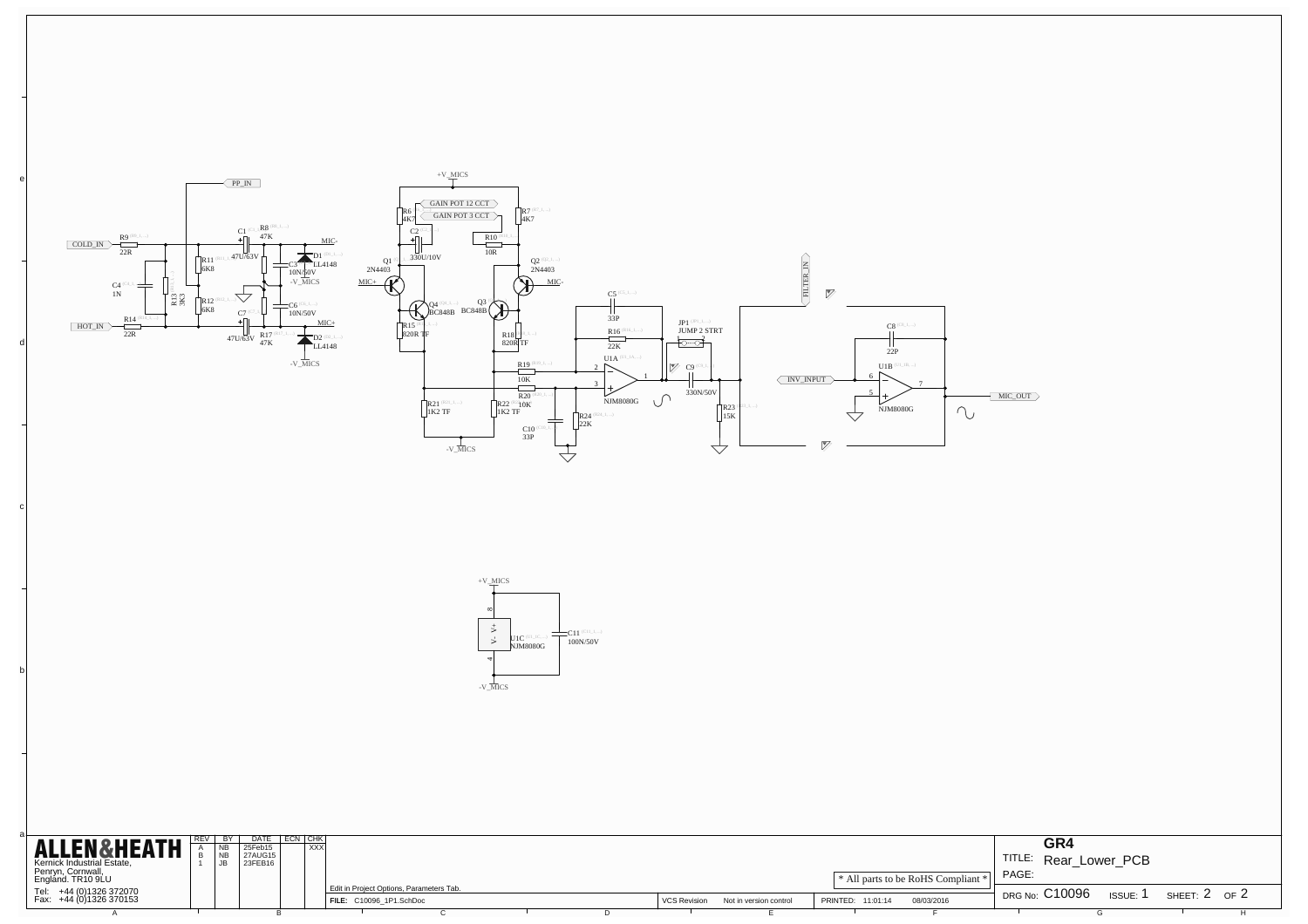



b

c

| <b>ALLEN&amp;HEATH</b>                 | IBY I<br>REV I | DATE ECN CHK<br>25Feb15 | <b>XXX</b> |                                          |                     |                        |                                               | GR4                                           |
|----------------------------------------|----------------|-------------------------|------------|------------------------------------------|---------------------|------------------------|-----------------------------------------------|-----------------------------------------------|
| Kernick Industrial Estate,             |                | 27AUG15<br>23FEB16      |            |                                          |                     |                        |                                               | TITLE:<br>Rear_Lower_PCB                      |
| Penryn, Cornwall,<br>England. TR10 9LU |                |                         |            |                                          |                     |                        | <sup>*</sup> All parts to be RoHS Compliant * | PAGE:                                         |
| +44 (0)1326 372070                     |                |                         |            | Edit in Project Options, Parameters Tab. |                     |                        |                                               | DRG No: C10096<br>SHEET: $2$ OF $2$<br>ISSUE: |
| Fax: +44 (0) 1326 370153               |                |                         |            | FILE: C10096 1P1.SchDoc                  | <b>VCS Revision</b> | Not in version control | 08/03/2016<br>PRINTED: 11:01:14               |                                               |
|                                        |                |                         |            |                                          |                     |                        |                                               |                                               |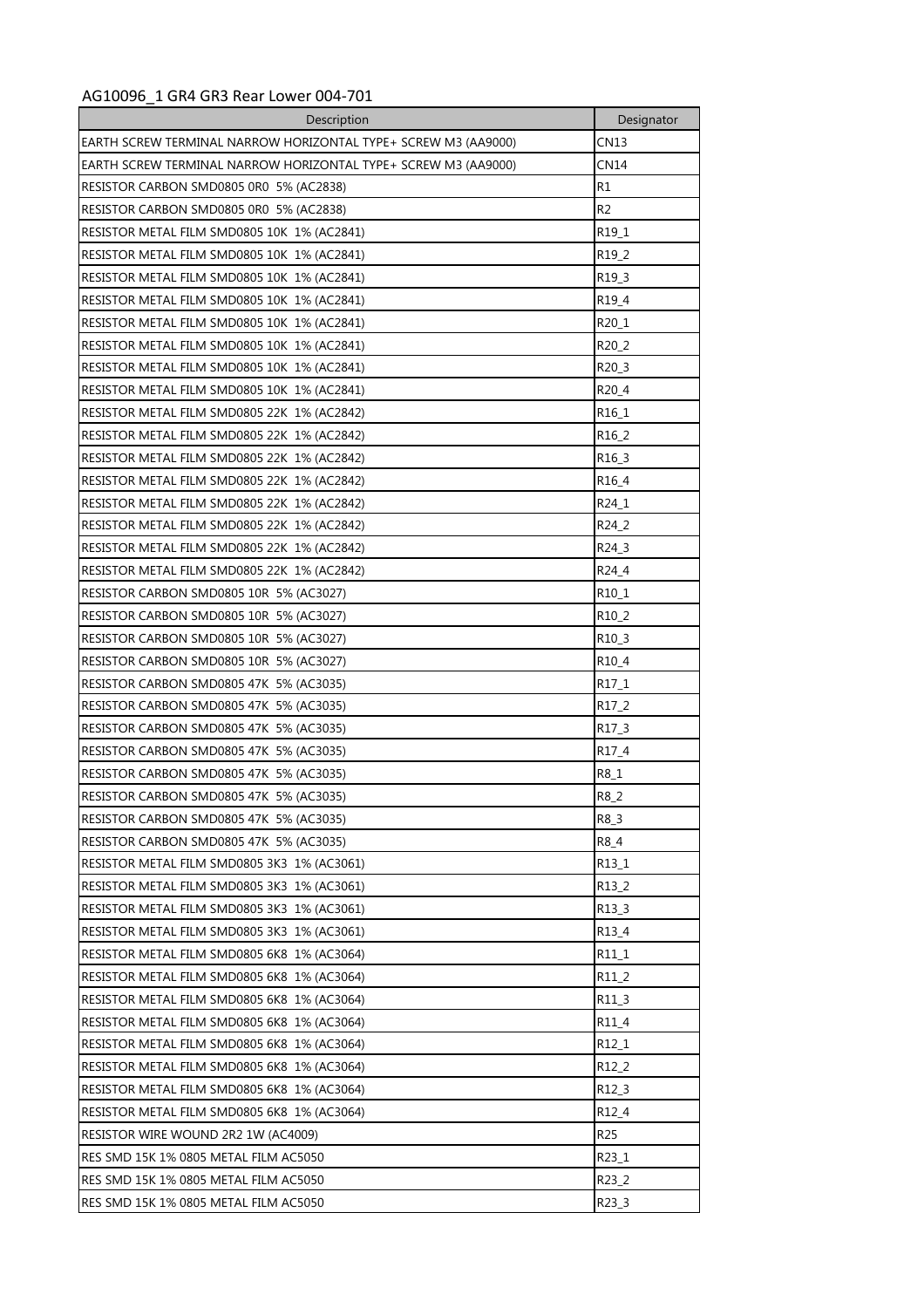## AG10096\_1 GR4 GR3 Rear Lower 004‐701

| Description                                                    | Designator                   |
|----------------------------------------------------------------|------------------------------|
| EARTH SCREW TERMINAL NARROW HORIZONTAL TYPE+ SCREW M3 (AA9000) | CN13                         |
| EARTH SCREW TERMINAL NARROW HORIZONTAL TYPE+ SCREW M3 (AA9000) | <b>CN14</b>                  |
| RESISTOR CARBON SMD0805 0R0 5% (AC2838)                        | R1                           |
| RESISTOR CARBON SMD0805 0R0 5% (AC2838)                        | R <sub>2</sub>               |
| RESISTOR METAL FILM SMD0805 10K 1% (AC2841)                    | R <sub>19</sub> 1            |
| RESISTOR METAL FILM SMD0805 10K 1% (AC2841)                    | R <sub>19</sub> 2            |
| RESISTOR METAL FILM SMD0805 10K 1% (AC2841)                    | R <sub>19</sub> 3            |
| RESISTOR METAL FILM SMD0805 10K 1% (AC2841)                    | R <sub>19</sub> 4            |
| RESISTOR METAL FILM SMD0805 10K 1% (AC2841)                    | R20_1                        |
| RESISTOR METAL FILM SMD0805 10K 1% (AC2841)                    | R20_2                        |
| RESISTOR METAL FILM SMD0805 10K 1% (AC2841)                    | R20_3                        |
| RESISTOR METAL FILM SMD0805 10K 1% (AC2841)                    | R <sub>20_4</sub>            |
| RESISTOR METAL FILM SMD0805 22K 1% (AC2842)                    | R <sub>16</sub> 1            |
| RESISTOR METAL FILM SMD0805 22K 1% (AC2842)                    | R <sub>16</sub> _2           |
| RESISTOR METAL FILM SMD0805 22K 1% (AC2842)                    | R <sub>16</sub> _3           |
| RESISTOR METAL FILM SMD0805 22K 1% (AC2842)                    | R <sub>16</sub> 4            |
| RESISTOR METAL FILM SMD0805 22K 1% (AC2842)                    | R24_1                        |
| RESISTOR METAL FILM SMD0805 22K 1% (AC2842)                    | R <sub>24_2</sub>            |
| RESISTOR METAL FILM SMD0805 22K 1% (AC2842)                    | R <sub>24_3</sub>            |
| RESISTOR METAL FILM SMD0805 22K 1% (AC2842)                    | R <sub>24</sub> <sub>4</sub> |
| RESISTOR CARBON SMD0805 10R 5% (AC3027)                        | R <sub>10_1</sub>            |
| RESISTOR CARBON SMD0805 10R 5% (AC3027)                        | R <sub>10</sub> _2           |
| RESISTOR CARBON SMD0805 10R 5% (AC3027)                        | R <sub>10_3</sub>            |
| RESISTOR CARBON SMD0805 10R 5% (AC3027)                        | R <sub>10_4</sub>            |
| RESISTOR CARBON SMD0805 47K 5% (AC3035)                        | R17_1                        |
| RESISTOR CARBON SMD0805 47K 5% (AC3035)                        | R <sub>17</sub> 2            |
| RESISTOR CARBON SMD0805 47K 5% (AC3035)                        | R17_3                        |
| RESISTOR CARBON SMD0805 47K 5% (AC3035)                        | R <sub>17_4</sub>            |
| RESISTOR CARBON SMD0805 47K 5% (AC3035)                        | R8_1                         |
| RESISTOR CARBON SMD0805 47K 5% (AC3035)                        | R8_2                         |
| RESISTOR CARBON SMD0805 47K 5% (AC3035)                        | R8_3                         |
| RESISTOR CARBON SMD0805 47K 5% (AC3035)                        | R8_4                         |
| RESISTOR METAL FILM SMD0805 3K3 1% (AC3061)                    | R13_1                        |
| RESISTOR METAL FILM SMD0805 3K3 1% (AC3061)                    | R <sub>13</sub> 2            |
| RESISTOR METAL FILM SMD0805 3K3 1% (AC3061)                    | R <sub>13</sub> 3            |
| RESISTOR METAL FILM SMD0805 3K3 1% (AC3061)                    | R13_4                        |
| RESISTOR METAL FILM SMD0805 6K8 1% (AC3064)                    | R11_1                        |
| RESISTOR METAL FILM SMD0805 6K8 1% (AC3064)                    | R11_2                        |
| RESISTOR METAL FILM SMD0805 6K8 1% (AC3064)                    | R11_3                        |
| RESISTOR METAL FILM SMD0805 6K8 1% (AC3064)                    | R11_4                        |
| RESISTOR METAL FILM SMD0805 6K8 1% (AC3064)                    | R12_1                        |
| RESISTOR METAL FILM SMD0805 6K8 1% (AC3064)                    | R12_2                        |
| RESISTOR METAL FILM SMD0805 6K8 1% (AC3064)                    | R <sub>12</sub> 3            |
| RESISTOR METAL FILM SMD0805 6K8 1% (AC3064)                    | R <sub>12_4</sub>            |
| RESISTOR WIRE WOUND 2R2 1W (AC4009)                            | R <sub>25</sub>              |
| RES SMD 15K 1% 0805 METAL FILM AC5050                          | R23_1                        |
| RES SMD 15K 1% 0805 METAL FILM AC5050                          | R23_2                        |
| RES SMD 15K 1% 0805 METAL FILM AC5050                          | R23_3                        |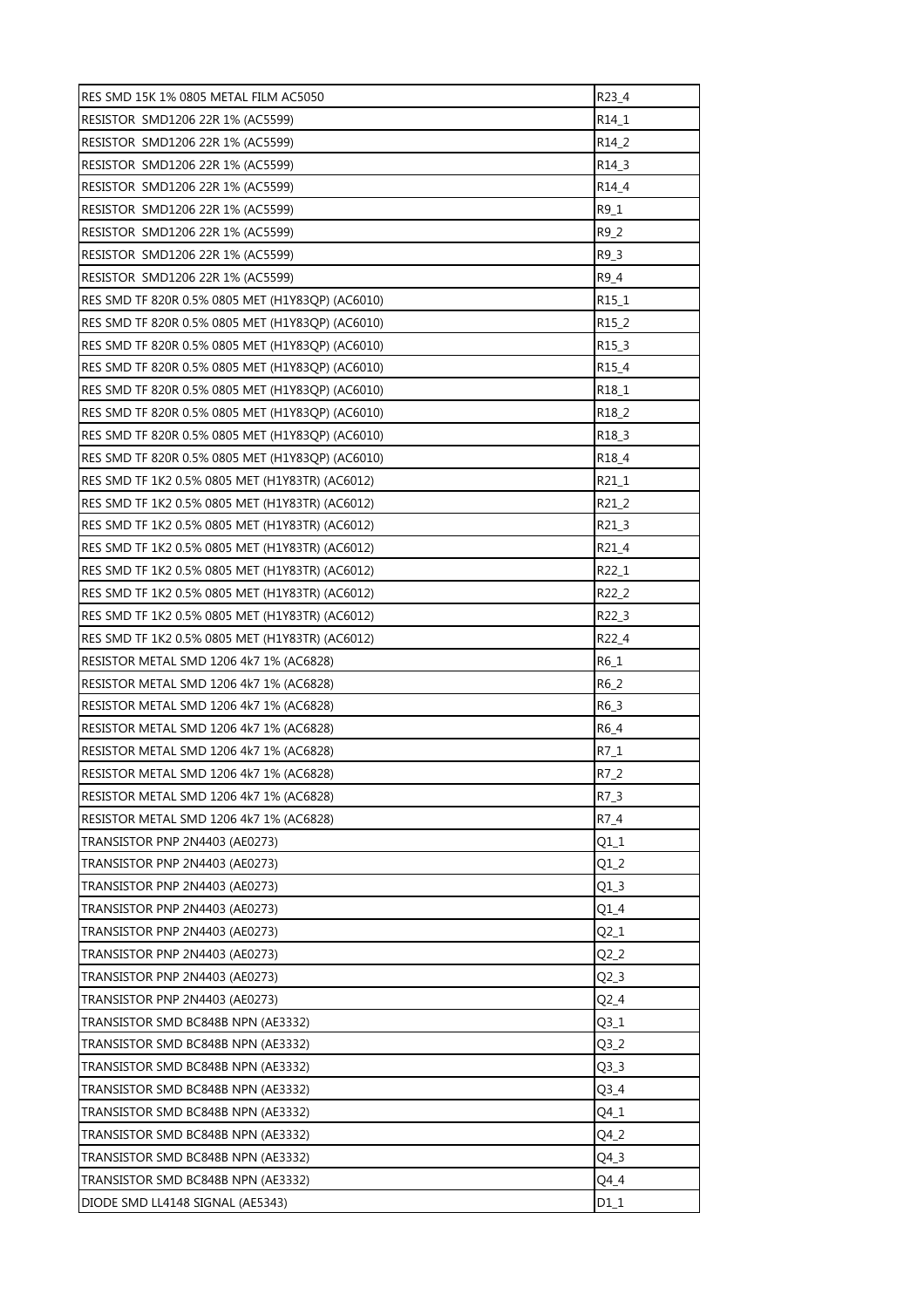| RES SMD 15K 1% 0805 METAL FILM AC5050            | R23_4                        |
|--------------------------------------------------|------------------------------|
| RESISTOR SMD1206 22R 1% (AC5599)                 | R14_1                        |
| RESISTOR SMD1206 22R 1% (AC5599)                 | R <sub>14_2</sub>            |
| RESISTOR SMD1206 22R 1% (AC5599)                 | R <sub>14</sub> 3            |
| RESISTOR SMD1206 22R 1% (AC5599)                 | R <sub>14</sub> <sup>4</sup> |
| RESISTOR SMD1206 22R 1% (AC5599)                 | $R9_1$                       |
| RESISTOR SMD1206 22R 1% (AC5599)                 | $R9_2$                       |
| RESISTOR SMD1206 22R 1% (AC5599)                 | $R9_3$                       |
| RESISTOR SMD1206 22R 1% (AC5599)                 | R <sub>9</sub> _4            |
| RES SMD TF 820R 0.5% 0805 MET (H1Y83QP) (AC6010) | R15_1                        |
| RES SMD TF 820R 0.5% 0805 MET (H1Y83QP) (AC6010) | R15_2                        |
| RES SMD TF 820R 0.5% 0805 MET (H1Y83QP) (AC6010) | R15_3                        |
| RES SMD TF 820R 0.5% 0805 MET (H1Y83QP) (AC6010) | R15_4                        |
| RES SMD TF 820R 0.5% 0805 MET (H1Y83QP) (AC6010) | R18_1                        |
| RES SMD TF 820R 0.5% 0805 MET (H1Y83QP) (AC6010) | R18_2                        |
| RES SMD TF 820R 0.5% 0805 MET (H1Y83QP) (AC6010) | R <sub>18</sub> 3            |
| RES SMD TF 820R 0.5% 0805 MET (H1Y83QP) (AC6010) | R <sub>18</sub> 4            |
| RES SMD TF 1K2 0.5% 0805 MET (H1Y83TR) (AC6012)  | R21_1                        |
| RES SMD TF 1K2 0.5% 0805 MET (H1Y83TR) (AC6012)  | R21_2                        |
| RES SMD TF 1K2 0.5% 0805 MET (H1Y83TR) (AC6012)  | R21_3                        |
| RES SMD TF 1K2 0.5% 0805 MET (H1Y83TR) (AC6012)  | R21_4                        |
| RES SMD TF 1K2 0.5% 0805 MET (H1Y83TR) (AC6012)  | R22_1                        |
| RES SMD TF 1K2 0.5% 0805 MET (H1Y83TR) (AC6012)  | R22_2                        |
| RES SMD TF 1K2 0.5% 0805 MET (H1Y83TR) (AC6012)  | $R22_3$                      |
| RES SMD TF 1K2 0.5% 0805 MET (H1Y83TR) (AC6012)  | R22_4                        |
|                                                  |                              |
| RESISTOR METAL SMD 1206 4k7 1% (AC6828)          | R6_1                         |
| RESISTOR METAL SMD 1206 4k7 1% (AC6828)          | R <sub>6</sub> 2             |
| RESISTOR METAL SMD 1206 4k7 1% (AC6828)          | $R6_3$                       |
| RESISTOR METAL SMD 1206 4k7 1% (AC6828)          | $R6_4$                       |
| RESISTOR METAL SMD 1206 4k7 1% (AC6828)          | R7_1                         |
| RESISTOR METAL SMD 1206 4k7 1% (AC6828)          | R7 2                         |
| RESISTOR METAL SMD 1206 4k7 1% (AC6828)          | $R7_3$                       |
| RESISTOR METAL SMD 1206 4k7 1% (AC6828)          | R7_4                         |
| TRANSISTOR PNP 2N4403 (AE0273)                   | $Q1_1$                       |
| TRANSISTOR PNP 2N4403 (AE0273)                   | $Q1_2$                       |
| TRANSISTOR PNP 2N4403 (AE0273)                   | Q1_3                         |
| TRANSISTOR PNP 2N4403 (AE0273)                   | $Q1_4$                       |
| TRANSISTOR PNP 2N4403 (AE0273)                   | $Q2_1$                       |
| TRANSISTOR PNP 2N4403 (AE0273)                   | $Q2_2$                       |
| TRANSISTOR PNP 2N4403 (AE0273)                   | $Q2_3$                       |
| TRANSISTOR PNP 2N4403 (AE0273)                   | $Q2_4$                       |
| TRANSISTOR SMD BC848B NPN (AE3332)               | $Q3_1$                       |
| TRANSISTOR SMD BC848B NPN (AE3332)               | $Q3_2$                       |
| TRANSISTOR SMD BC848B NPN (AE3332)               | $Q3_3$                       |
| TRANSISTOR SMD BC848B NPN (AE3332)               | $Q3_4$                       |
| TRANSISTOR SMD BC848B NPN (AE3332)               | Q4_1                         |
| TRANSISTOR SMD BC848B NPN (AE3332)               | $Q4_2$                       |
| TRANSISTOR SMD BC848B NPN (AE3332)               | $Q4_3$                       |
| TRANSISTOR SMD BC848B NPN (AE3332)               | Q4_4                         |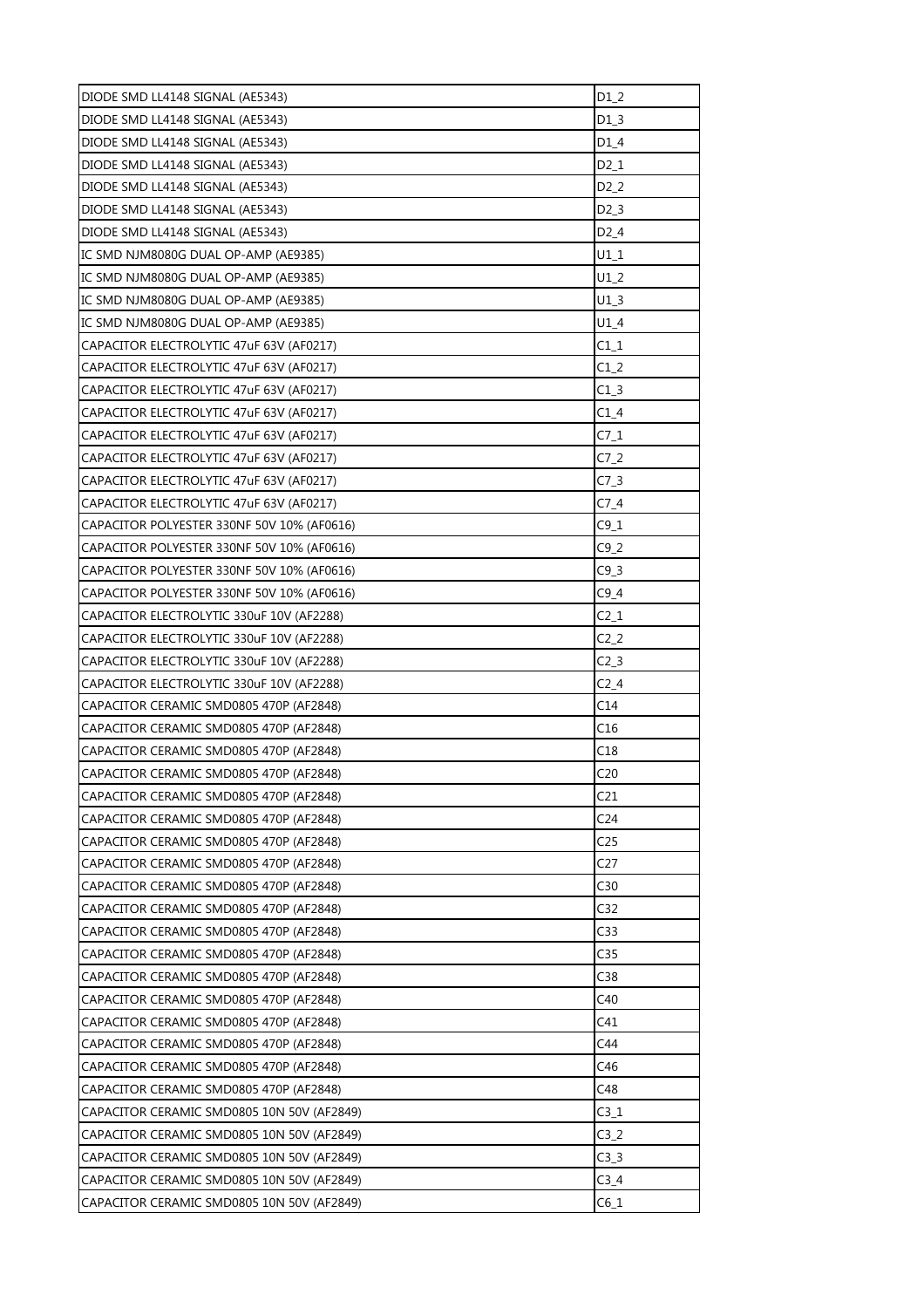| DIODE SMD LL4148 SIGNAL (AE5343)           | $D1_2$            |
|--------------------------------------------|-------------------|
| DIODE SMD LL4148 SIGNAL (AE5343)           | $D1_3$            |
| DIODE SMD LL4148 SIGNAL (AE5343)           | D1_4              |
| DIODE SMD LL4148 SIGNAL (AE5343)           | $D2_1$            |
| DIODE SMD LL4148 SIGNAL (AE5343)           | D <sub>2</sub> 2  |
| DIODE SMD LL4148 SIGNAL (AE5343)           | $D2_3$            |
| DIODE SMD LL4148 SIGNAL (AE5343)           | $D2_4$            |
| IC SMD NJM8080G DUAL OP-AMP (AE9385)       | U1_1              |
| IC SMD NJM8080G DUAL OP-AMP (AE9385)       | $U1_2$            |
| IC SMD NJM8080G DUAL OP-AMP (AE9385)       | $U1_3$            |
| IC SMD NJM8080G DUAL OP-AMP (AE9385)       | $U1_4$            |
| CAPACITOR ELECTROLYTIC 47uF 63V (AF0217)   | $C1_1$            |
| CAPACITOR ELECTROLYTIC 47uF 63V (AF0217)   | $C1_2$            |
| CAPACITOR ELECTROLYTIC 47uF 63V (AF0217)   | C1_3              |
| CAPACITOR ELECTROLYTIC 47uF 63V (AF0217)   | C1_4              |
| CAPACITOR ELECTROLYTIC 47uF 63V (AF0217)   | $C7_1$            |
| CAPACITOR ELECTROLYTIC 47uF 63V (AF0217)   | $C7_2$            |
| CAPACITOR ELECTROLYTIC 47uF 63V (AF0217)   | $C7_3$            |
| CAPACITOR ELECTROLYTIC 47uF 63V (AF0217)   | $C7_4$            |
| CAPACITOR POLYESTER 330NF 50V 10% (AF0616) | $C9_1$            |
| CAPACITOR POLYESTER 330NF 50V 10% (AF0616) | $C9-2$            |
| CAPACITOR POLYESTER 330NF 50V 10% (AF0616) | $C9-3$            |
| CAPACITOR POLYESTER 330NF 50V 10% (AF0616) | $C9-4$            |
| CAPACITOR ELECTROLYTIC 330uF 10V (AF2288)  | C2_1              |
| CAPACITOR ELECTROLYTIC 330uF 10V (AF2288)  | C2 <sub>2</sub>   |
| CAPACITOR ELECTROLYTIC 330uF 10V (AF2288)  | $C2_3$            |
| CAPACITOR ELECTROLYTIC 330uF 10V (AF2288)  | C2_4              |
| CAPACITOR CERAMIC SMD0805 470P (AF2848)    | C14               |
| CAPACITOR CERAMIC SMD0805 470P (AF2848)    | C16               |
| CAPACITOR CERAMIC SMD0805 470P (AF2848)    | C18               |
| CAPACITOR CERAMIC SMD0805 470P (AF2848)    | C <sub>20</sub>   |
| CAPACITOR CERAMIC SMD0805 470P (AF2848)    | C21               |
| CAPACITOR CERAMIC SMD0805 470P (AF2848)    | C24               |
| CAPACITOR CERAMIC SMD0805 470P (AF2848)    | C <sub>25</sub>   |
| CAPACITOR CERAMIC SMD0805 470P (AF2848)    | C27               |
| CAPACITOR CERAMIC SMD0805 470P (AF2848)    | C30               |
| CAPACITOR CERAMIC SMD0805 470P (AF2848)    | C <sub>32</sub>   |
| CAPACITOR CERAMIC SMD0805 470P (AF2848)    | C33               |
| CAPACITOR CERAMIC SMD0805 470P (AF2848)    | C <sub>35</sub>   |
| CAPACITOR CERAMIC SMD0805 470P (AF2848)    | C38               |
| CAPACITOR CERAMIC SMD0805 470P (AF2848)    | C40               |
| CAPACITOR CERAMIC SMD0805 470P (AF2848)    | C41               |
| CAPACITOR CERAMIC SMD0805 470P (AF2848)    | C44               |
| CAPACITOR CERAMIC SMD0805 470P (AF2848)    | C46               |
| CAPACITOR CERAMIC SMD0805 470P (AF2848)    | C48               |
| CAPACITOR CERAMIC SMD0805 10N 50V (AF2849) | $C3_1$            |
| CAPACITOR CERAMIC SMD0805 10N 50V (AF2849) | C3 <sub>2</sub>   |
| CAPACITOR CERAMIC SMD0805 10N 50V (AF2849) | $C3-3$            |
| CAPACITOR CERAMIC SMD0805 10N 50V (AF2849) | C3 <sub>1</sub> 4 |
| CAPACITOR CERAMIC SMD0805 10N 50V (AF2849) | $C6_1$            |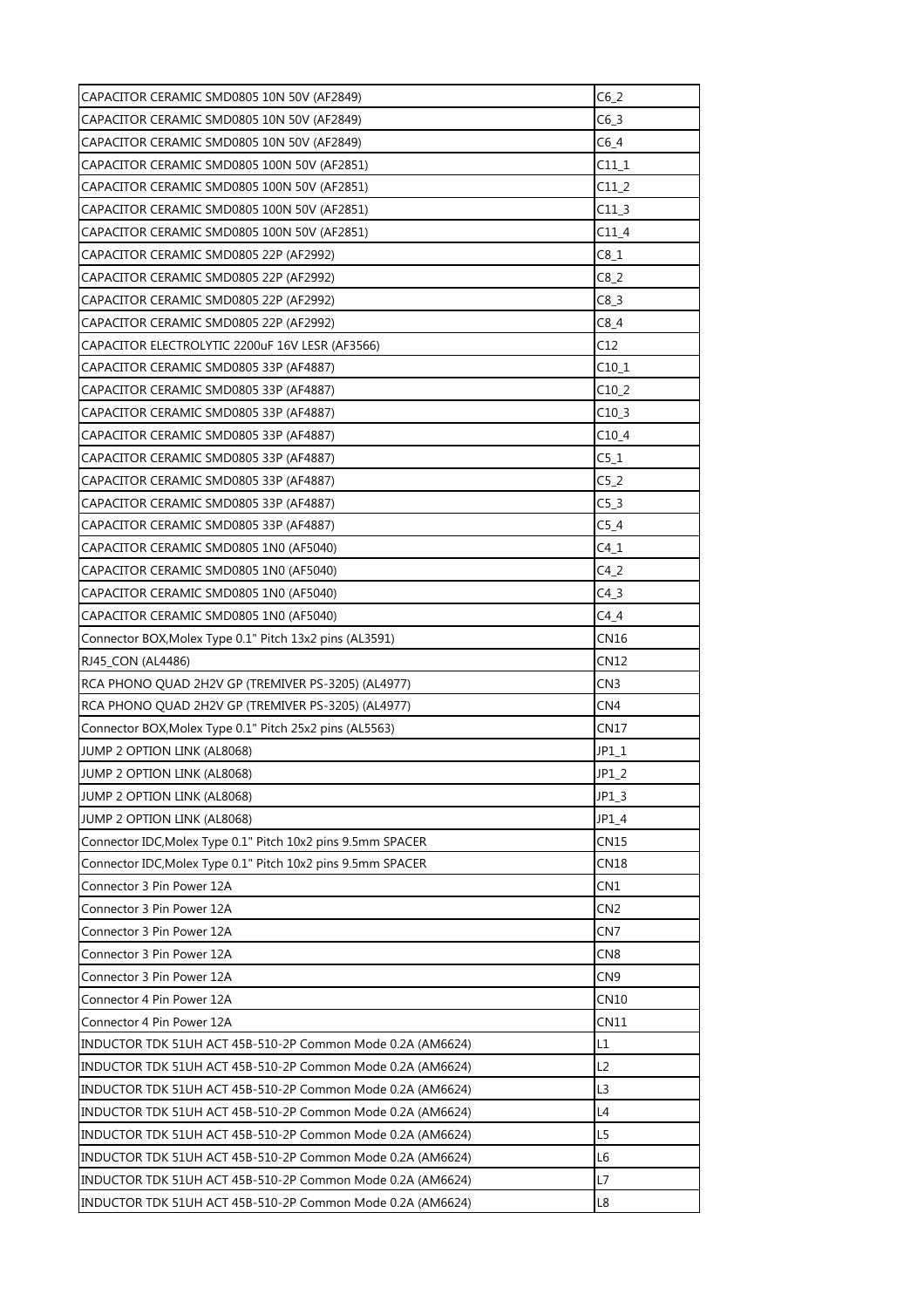| CAPACITOR CERAMIC SMD0805 10N 50V (AF2849)                  | C6 <sub>2</sub> |
|-------------------------------------------------------------|-----------------|
| CAPACITOR CERAMIC SMD0805 10N 50V (AF2849)                  | $C6_3$          |
| CAPACITOR CERAMIC SMD0805 10N 50V (AF2849)                  | $C6_4$          |
| CAPACITOR CERAMIC SMD0805 100N 50V (AF2851)                 | $C11_1$         |
| CAPACITOR CERAMIC SMD0805 100N 50V (AF2851)                 | $C11_2$         |
| CAPACITOR CERAMIC SMD0805 100N 50V (AF2851)                 | $C11_3$         |
| CAPACITOR CERAMIC SMD0805 100N 50V (AF2851)                 | $C11_4$         |
| CAPACITOR CERAMIC SMD0805 22P (AF2992)                      | $C8_1$          |
| CAPACITOR CERAMIC SMD0805 22P (AF2992)                      | $C8_2$          |
| CAPACITOR CERAMIC SMD0805 22P (AF2992)                      | C8_3            |
| CAPACITOR CERAMIC SMD0805 22P (AF2992)                      | $C8_4$          |
| CAPACITOR ELECTROLYTIC 2200uF 16V LESR (AF3566)             | C12             |
| CAPACITOR CERAMIC SMD0805 33P (AF4887)                      | C10_1           |
| CAPACITOR CERAMIC SMD0805 33P (AF4887)                      | $C10-2$         |
| CAPACITOR CERAMIC SMD0805 33P (AF4887)                      | C10_3           |
| CAPACITOR CERAMIC SMD0805 33P (AF4887)                      | $C10_4$         |
| CAPACITOR CERAMIC SMD0805 33P (AF4887)                      | C5_1            |
| CAPACITOR CERAMIC SMD0805 33P (AF4887)                      | $C5_2$          |
| CAPACITOR CERAMIC SMD0805 33P (AF4887)                      | $C5_3$          |
| CAPACITOR CERAMIC SMD0805 33P (AF4887)                      | C5_4            |
| CAPACITOR CERAMIC SMD0805 1N0 (AF5040)                      | $C4_1$          |
| CAPACITOR CERAMIC SMD0805 1N0 (AF5040)                      | C4 <sub>2</sub> |
| CAPACITOR CERAMIC SMD0805 1N0 (AF5040)                      | $C4_3$          |
| CAPACITOR CERAMIC SMD0805 1N0 (AF5040)                      | $C4_4$          |
| Connector BOX, Molex Type 0.1" Pitch 13x2 pins (AL3591)     | CN16            |
| RJ45_CON (AL4486)                                           | CN12            |
| RCA PHONO QUAD 2H2V GP (TREMIVER PS-3205) (AL4977)          | CN3             |
| RCA PHONO QUAD 2H2V GP (TREMIVER PS-3205) (AL4977)          | CN4             |
| Connector BOX, Molex Type 0.1" Pitch 25x2 pins (AL5563)     | CN17            |
| JUMP 2 OPTION LINK (AL8068)                                 | JP1_1           |
| JUMP 2 OPTION LINK (AL8068)                                 | JP1 2           |
| JUMP 2 OPTION LINK (AL8068)                                 | JP1_3           |
| JUMP 2 OPTION LINK (AL8068)                                 | JP1_4           |
| Connector IDC, Molex Type 0.1" Pitch 10x2 pins 9.5mm SPACER | <b>CN15</b>     |
| Connector IDC, Molex Type 0.1" Pitch 10x2 pins 9.5mm SPACER | CN18            |
| Connector 3 Pin Power 12A                                   | CN1             |
| Connector 3 Pin Power 12A                                   | CN <sub>2</sub> |
| Connector 3 Pin Power 12A                                   | CN7             |
| Connector 3 Pin Power 12A                                   | CN8             |
| Connector 3 Pin Power 12A                                   | CN9             |
| Connector 4 Pin Power 12A                                   | CN10            |
| Connector 4 Pin Power 12A                                   | CN11            |
| INDUCTOR TDK 51UH ACT 45B-510-2P Common Mode 0.2A (AM6624)  | L1              |
| INDUCTOR TDK 51UH ACT 45B-510-2P Common Mode 0.2A (AM6624)  | L2              |
| INDUCTOR TDK 51UH ACT 45B-510-2P Common Mode 0.2A (AM6624)  | L3              |
| INDUCTOR TDK 51UH ACT 45B-510-2P Common Mode 0.2A (AM6624)  | L4              |
| INDUCTOR TDK 51UH ACT 45B-510-2P Common Mode 0.2A (AM6624)  | L5              |
| INDUCTOR TDK 51UH ACT 45B-510-2P Common Mode 0.2A (AM6624)  | L6              |
| INDUCTOR TDK 51UH ACT 45B-510-2P Common Mode 0.2A (AM6624)  | L7              |
| INDUCTOR TDK 51UH ACT 45B-510-2P Common Mode 0.2A (AM6624)  | L8              |
|                                                             |                 |